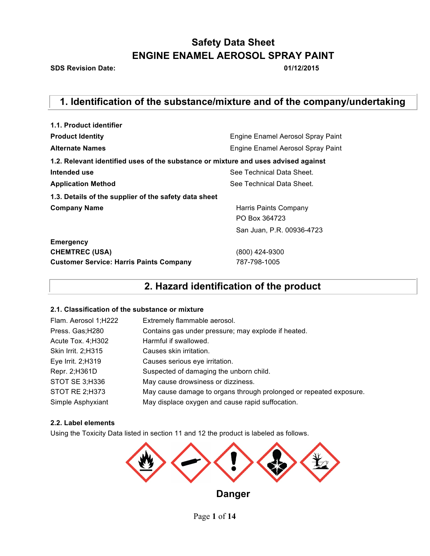**SDS Revision Date: 01/12/2015**

# **1. Identification of the substance/mixture and of the company/undertaking**

| 1.1. Product identifier                                                            |                                   |
|------------------------------------------------------------------------------------|-----------------------------------|
| <b>Product Identity</b>                                                            | Engine Enamel Aerosol Spray Paint |
| <b>Alternate Names</b>                                                             | Engine Enamel Aerosol Spray Paint |
| 1.2. Relevant identified uses of the substance or mixture and uses advised against |                                   |
| Intended use                                                                       | See Technical Data Sheet.         |
| <b>Application Method</b>                                                          | See Technical Data Sheet.         |
| 1.3. Details of the supplier of the safety data sheet                              |                                   |
| <b>Company Name</b>                                                                | Harris Paints Company             |
|                                                                                    | PO Box 364723                     |
|                                                                                    | San Juan, P.R. 00936-4723         |
| <b>Emergency</b>                                                                   |                                   |
| <b>CHEMTREC (USA)</b>                                                              | (800) 424-9300                    |
| <b>Customer Service: Harris Paints Company</b>                                     | 787-798-1005                      |

### **2. Hazard identification of the product**

### **2.1. Classification of the substance or mixture**

| Flam. Aerosol 1;H222 | Extremely flammable aerosol.                                       |
|----------------------|--------------------------------------------------------------------|
| Press. Gas; H280     | Contains gas under pressure; may explode if heated.                |
| Acute Tox. 4; H302   | Harmful if swallowed.                                              |
| Skin Irrit. 2; H315  | Causes skin irritation.                                            |
| Eye Irrit. 2;H319    | Causes serious eye irritation.                                     |
| Repr. 2; H361D       | Suspected of damaging the unborn child.                            |
| STOT SE 3;H336       | May cause drowsiness or dizziness.                                 |
| STOT RE 2;H373       | May cause damage to organs through prolonged or repeated exposure. |
| Simple Asphyxiant    | May displace oxygen and cause rapid suffocation.                   |

### **2.2. Label elements**

Using the Toxicity Data listed in section 11 and 12 the product is labeled as follows.



Page **1** of **14**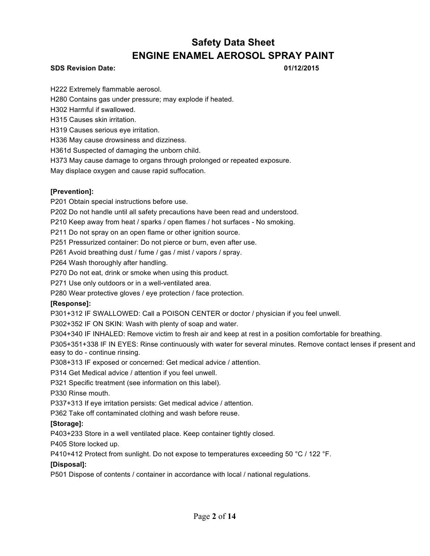### **SDS Revision Date: 01/12/2015**

H222 Extremely flammable aerosol.

H280 Contains gas under pressure; may explode if heated.

H302 Harmful if swallowed.

H315 Causes skin irritation.

H319 Causes serious eye irritation.

H336 May cause drowsiness and dizziness.

H361d Suspected of damaging the unborn child.

H373 May cause damage to organs through prolonged or repeated exposure.

May displace oxygen and cause rapid suffocation.

### **[Prevention]:**

P201 Obtain special instructions before use.

P202 Do not handle until all safety precautions have been read and understood.

P210 Keep away from heat / sparks / open flames / hot surfaces - No smoking.

P211 Do not spray on an open flame or other ignition source.

P251 Pressurized container: Do not pierce or burn, even after use.

P261 Avoid breathing dust / fume / gas / mist / vapors / spray.

P264 Wash thoroughly after handling.

P270 Do not eat, drink or smoke when using this product.

P271 Use only outdoors or in a well-ventilated area.

P280 Wear protective gloves / eye protection / face protection.

### **[Response]:**

P301+312 IF SWALLOWED: Call a POISON CENTER or doctor / physician if you feel unwell.

P302+352 IF ON SKIN: Wash with plenty of soap and water.

P304+340 IF INHALED: Remove victim to fresh air and keep at rest in a position comfortable for breathing.

P305+351+338 IF IN EYES: Rinse continuously with water for several minutes. Remove contact lenses if present and easy to do - continue rinsing.

P308+313 IF exposed or concerned: Get medical advice / attention.

P314 Get Medical advice / attention if you feel unwell.

P321 Specific treatment (see information on this label).

P330 Rinse mouth.

P337+313 If eye irritation persists: Get medical advice / attention.

P362 Take off contaminated clothing and wash before reuse.

### **[Storage]:**

P403+233 Store in a well ventilated place. Keep container tightly closed.

P405 Store locked up.

P410+412 Protect from sunlight. Do not expose to temperatures exceeding 50 °C / 122 °F.

### **[Disposal]:**

P501 Dispose of contents / container in accordance with local / national regulations.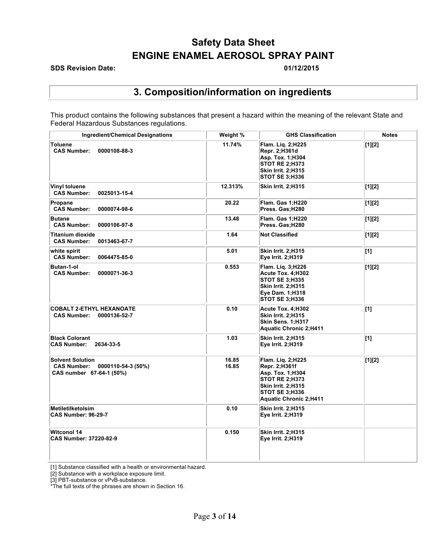### **SDS Revision Date: 01/12/2015**

### **3. Composition/information on ingredients**

This product contains the following substances that present a hazard within the meaning of the relevant State and Federal Hazardous Substances regulations.

| <b>Ingredient/Chemical Designations</b>                                                         | Weight %       | <b>GHS Classification</b>                                                                                                                                       | <b>Notes</b> |
|-------------------------------------------------------------------------------------------------|----------------|-----------------------------------------------------------------------------------------------------------------------------------------------------------------|--------------|
| <b>Toluene</b><br><b>CAS Number:</b><br>0000108-88-3                                            | 11.74%         | Flam. Lig. 2;H225<br>Repr. 2;H361d<br>Asp. Tox. 1;H304<br><b>STOT RE 2:H373</b><br>Skin Irrit. 2;H315<br><b>STOT SE 3:H336</b>                                  | [1][2]       |
| Vinyl toluene<br><b>CAS Number:</b><br>0025013-15-4                                             | 12.313%        | <b>Skin Irrit. 2;H315</b>                                                                                                                                       | [1][2]       |
| Propane<br><b>CAS Number:</b><br>0000074-98-6                                                   | 20.22          | <b>Flam. Gas 1:H220</b><br>Press. Gas:H280                                                                                                                      | [1][2]       |
| <b>Butane</b><br><b>CAS Number:</b><br>0000106-97-8                                             | 13.48          | <b>Flam. Gas 1:H220</b><br>Press. Gas;H280                                                                                                                      | [1][2]       |
| <b>Titanium dioxide</b><br><b>CAS Number:</b><br>0013463-67-7                                   | 1.64           | <b>Not Classified</b>                                                                                                                                           | [1][2]       |
| white spirit<br><b>CAS Number:</b><br>0064475-85-0                                              | 5.01           | <b>Skin Irrit. 2;H315</b><br>Eye Irrit. 2;H319                                                                                                                  | $\vert$ [1]  |
| Butan-1-ol<br><b>CAS Number:</b><br>0000071-36-3                                                | 0.553          | Flam. Lig. 3;H226<br>Acute Tox. 4;H302<br><b>STOT SE 3; H335</b><br><b>Skin Irrit. 2;H315</b><br>Eye Dam. 1;H318<br><b>STOT SE 3;H336</b>                       | [1][2]       |
| <b>COBALT 2-ETHYL HEXANOATE</b><br><b>CAS Number:</b><br>0000136-52-7                           | 0.10           | Acute Tox. 4;H302<br>Skin Irrit. 2;H315<br>Skin Sens. 1;H317<br>Aquatic Chronic 2;H411                                                                          | $\vert$ [1]  |
| <b>Black Colorant</b><br><b>CAS Number:</b><br>2634-33-5                                        | 1.03           | <b>Skin Irrit. 2;H315</b><br>Eye Irrit. 2;H319                                                                                                                  | $\vert$ [1]  |
| <b>Solvent Solution</b><br>0000110-54-3 (50%)<br><b>CAS Number:</b><br>CAS number 67-64-1 (50%) | 16.85<br>16.85 | Flam. Lig. 2;H225<br>Repr. 2;H361f<br>Asp. Tox. 1:H304<br><b>STOT RE 2:H373</b><br>Skin Irrit. 2;H315<br><b>STOT SE 3:H336</b><br><b>Aquatic Chronic 2;H411</b> | [1][2]       |
| <b>Metiletilketolsim</b><br><b>CAS Number: 96-29-7</b>                                          | 0.10           | <b>Skin Irrit. 2:H315</b><br>Eye Irrit. 2;H319                                                                                                                  |              |
| <b>Witconol 14</b><br><b>CAS Number: 37220-82-9</b>                                             | 0.150          | <b>Skin Irrit. 2;H315</b><br>Eye Irrit. 2;H319                                                                                                                  |              |

[1] Substance classified with a health or environmental hazard.

[2] Substance with a workplace exposure limit.

[3] PBT-substance or vPvB-substance.

\*The full texts of the phrases are shown in Section 16.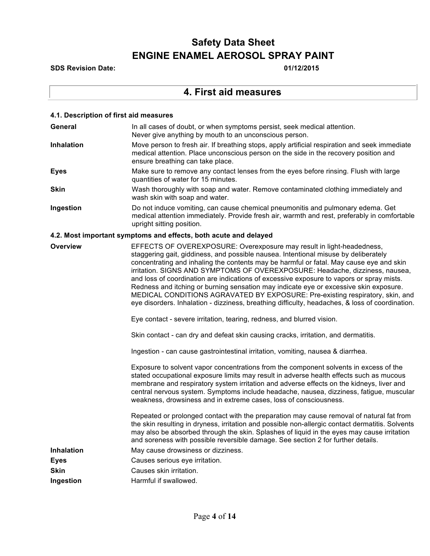**SDS Revision Date: 01/12/2015**

### **4. First aid measures**

| 4.1. Description of first aid measures |                                                                                                                                                                                                                                                                                                                                                                                                                                                                                                                                                                                                                                                                                                                  |
|----------------------------------------|------------------------------------------------------------------------------------------------------------------------------------------------------------------------------------------------------------------------------------------------------------------------------------------------------------------------------------------------------------------------------------------------------------------------------------------------------------------------------------------------------------------------------------------------------------------------------------------------------------------------------------------------------------------------------------------------------------------|
| <b>General</b>                         | In all cases of doubt, or when symptoms persist, seek medical attention.<br>Never give anything by mouth to an unconscious person.                                                                                                                                                                                                                                                                                                                                                                                                                                                                                                                                                                               |
| <b>Inhalation</b>                      | Move person to fresh air. If breathing stops, apply artificial respiration and seek immediate<br>medical attention. Place unconscious person on the side in the recovery position and<br>ensure breathing can take place.                                                                                                                                                                                                                                                                                                                                                                                                                                                                                        |
| <b>Eyes</b>                            | Make sure to remove any contact lenses from the eyes before rinsing. Flush with large<br>quantities of water for 15 minutes.                                                                                                                                                                                                                                                                                                                                                                                                                                                                                                                                                                                     |
| <b>Skin</b>                            | Wash thoroughly with soap and water. Remove contaminated clothing immediately and<br>wash skin with soap and water.                                                                                                                                                                                                                                                                                                                                                                                                                                                                                                                                                                                              |
| Ingestion                              | Do not induce vomiting, can cause chemical pneumonitis and pulmonary edema. Get<br>medical attention immediately. Provide fresh air, warmth and rest, preferably in comfortable<br>upright sitting position.                                                                                                                                                                                                                                                                                                                                                                                                                                                                                                     |
|                                        | 4.2. Most important symptoms and effects, both acute and delayed                                                                                                                                                                                                                                                                                                                                                                                                                                                                                                                                                                                                                                                 |
| Overview                               | EFFECTS OF OVEREXPOSURE: Overexposure may result in light-headedness,<br>staggering gait, giddiness, and possible nausea. Intentional misuse by deliberately<br>concentrating and inhaling the contents may be harmful or fatal. May cause eye and skin<br>irritation. SIGNS AND SYMPTOMS OF OVEREXPOSURE: Headache, dizziness, nausea,<br>and loss of coordination are indications of excessive exposure to vapors or spray mists.<br>Redness and itching or burning sensation may indicate eye or excessive skin exposure.<br>MEDICAL CONDITIONS AGRAVATED BY EXPOSURE: Pre-existing respiratory, skin, and<br>eye disorders. Inhalation - dizziness, breathing difficulty, headaches, & loss of coordination. |
|                                        | Eye contact - severe irritation, tearing, redness, and blurred vision.                                                                                                                                                                                                                                                                                                                                                                                                                                                                                                                                                                                                                                           |
|                                        | Skin contact - can dry and defeat skin causing cracks, irritation, and dermatitis.                                                                                                                                                                                                                                                                                                                                                                                                                                                                                                                                                                                                                               |
|                                        | Ingestion - can cause gastrointestinal irritation, vomiting, nausea & diarrhea.                                                                                                                                                                                                                                                                                                                                                                                                                                                                                                                                                                                                                                  |
|                                        | Exposure to solvent vapor concentrations from the component solvents in excess of the<br>stated occupational exposure limits may result in adverse health effects such as mucous<br>membrane and respiratory system irritation and adverse effects on the kidneys, liver and<br>central nervous system. Symptoms include headache, nausea, dizziness, fatigue, muscular<br>weakness, drowsiness and in extreme cases, loss of consciousness.                                                                                                                                                                                                                                                                     |
|                                        | Repeated or prolonged contact with the preparation may cause removal of natural fat from<br>the skin resulting in dryness, irritation and possible non-allergic contact dermatitis. Solvents<br>may also be absorbed through the skin. Splashes of liquid in the eyes may cause irritation<br>and soreness with possible reversible damage. See section 2 for further details.                                                                                                                                                                                                                                                                                                                                   |
| <b>Inhalation</b>                      | May cause drowsiness or dizziness.                                                                                                                                                                                                                                                                                                                                                                                                                                                                                                                                                                                                                                                                               |
| <b>Eyes</b>                            | Causes serious eye irritation.                                                                                                                                                                                                                                                                                                                                                                                                                                                                                                                                                                                                                                                                                   |
| <b>Skin</b>                            | Causes skin irritation.                                                                                                                                                                                                                                                                                                                                                                                                                                                                                                                                                                                                                                                                                          |
| Ingestion                              | Harmful if swallowed.                                                                                                                                                                                                                                                                                                                                                                                                                                                                                                                                                                                                                                                                                            |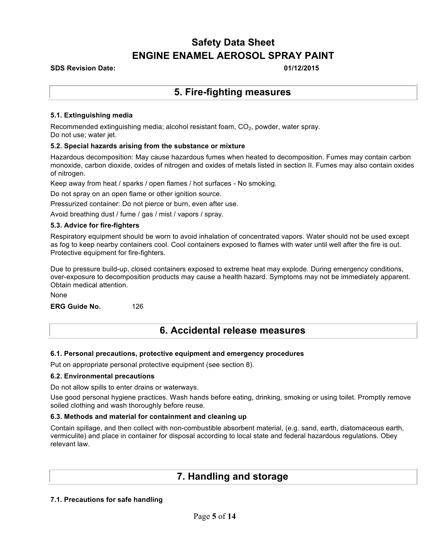### **SDS Revision Date: 01/12/2015**

### **5. Fire-fighting measures**

### **5.1. Extinguishing media**

Recommended extinguishing media; alcohol resistant foam,  $CO<sub>2</sub>$ , powder, water spray. Do not use; water jet.

#### **5.2. Special hazards arising from the substance or mixture**

Hazardous decomposition: May cause hazardous fumes when heated to decomposition. Fumes may contain carbon monoxide, carbon dioxide, oxides of nitrogen and oxides of metals listed in section II. Fumes may also contain oxides of nitrogen.

Keep away from heat / sparks / open flames / hot surfaces - No smoking.

Do not spray on an open flame or other ignition source.

Pressurized container: Do not pierce or burn, even after use.

Avoid breathing dust / fume / gas / mist / vapors / spray.

#### **5.3. Advice for fire-fighters**

Respiratory equipment should be worn to avoid inhalation of concentrated vapors. Water should not be used except as fog to keep nearby containers cool. Cool containers exposed to flames with water until well after the fire is out. Protective equipment for fire-fighters.

Due to pressure build-up, closed containers exposed to extreme heat may explode. During emergency conditions, over-exposure to decomposition products may cause a health hazard. Symptoms may not be immediately apparent. Obtain medical attention.

None

**ERG Guide No.** 126

#### **6.1. Personal precautions, protective equipment and emergency procedures**

Put on appropriate personal protective equipment (see section 8).

#### **6.2. Environmental precautions**

Do not allow spills to enter drains or waterways.

Use good personal hygiene practices. Wash hands before eating, drinking, smoking or using toilet. Promptly remove soiled clothing and wash thoroughly before reuse.

#### **6.3. Methods and material for containment and cleaning up**

Contain spillage, and then collect with non-combustible absorbent material, (e.g. sand, earth, diatomaceous earth, vermiculite) and place in container for disposal according to local state and federal hazardous regulations. Obey relevant law.

### **7. Handling and storage**

#### **7.1. Precautions for safe handling**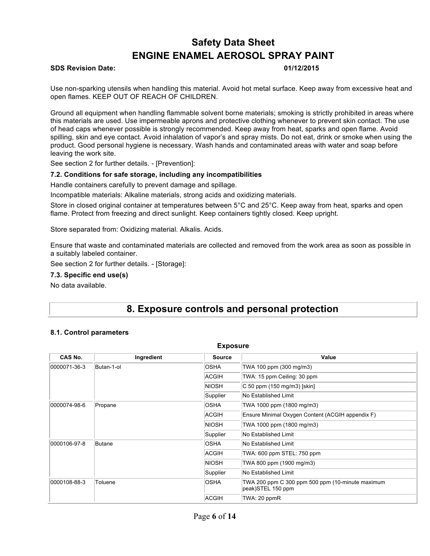### **SDS Revision Date: 01/12/2015**

Use non-sparking utensils when handling this material. Avoid hot metal surface. Keep away from excessive heat and open flames. KEEP OUT OF REACH OF CHILDREN.

Ground all equipment when handling flammable solvent borne materials; smoking is strictly prohibited in areas where this materials are used. Use impermeable aprons and protective clothing whenever to prevent skin contact. The use of head caps whenever possible is strongly recommended. Keep away from heat, sparks and open flame. Avoid spilling, skin and eye contact. Avoid inhalation of vapor's and spray mists. Do not eat, drink or smoke when using the product. Good personal hygiene is necessary. Wash hands and contaminated areas with water and soap before leaving the work site.

See section 2 for further details. - [Prevention]:

#### **7.2. Conditions for safe storage, including any incompatibilities**

Handle containers carefully to prevent damage and spillage.

Incompatible materials: Alkaline materials, strong acids and oxidizing materials.

Store in closed original container at temperatures between 5°C and 25°C. Keep away from heat, sparks and open flame. Protect from freezing and direct sunlight. Keep containers tightly closed. Keep upright.

Store separated from: Oxidizing material. Alkalis. Acids.

Ensure that waste and contaminated materials are collected and removed from the work area as soon as possible in a suitably labeled container.

See section 2 for further details. - [Storage]:

#### **7.3. Specific end use(s)**

No data available.

### **8. Exposure controls and personal protection**

#### **8.1. Control parameters**

| <b>Exposure</b>        |              |                                                  |                                                                       |
|------------------------|--------------|--------------------------------------------------|-----------------------------------------------------------------------|
| CAS No.                | Ingredient   | <b>Source</b>                                    | Value                                                                 |
| 0000071-36-3           | Butan-1-ol   | <b>OSHA</b>                                      | TWA 100 ppm (300 mg/m3)                                               |
|                        |              | <b>ACGIH</b>                                     | TWA: 15 ppm Ceiling: 30 ppm                                           |
|                        |              | <b>NIOSH</b>                                     | $ C 50$ ppm (150 mg/m3) [skin]                                        |
|                        |              | Supplier                                         | No Established Limit                                                  |
| 0000074-98-6           | Propane      | <b>OSHA</b>                                      | TWA 1000 ppm (1800 mg/m3)                                             |
|                        | <b>ACGIH</b> | Ensure Minimal Oxygen Content (ACGIH appendix F) |                                                                       |
|                        | <b>NIOSH</b> | TWA 1000 ppm (1800 mg/m3)                        |                                                                       |
|                        | Supplier     | No Established Limit                             |                                                                       |
| 0000106-97-8<br>Butane | <b>OSHA</b>  | No Established Limit                             |                                                                       |
|                        | <b>ACGIH</b> | TWA: 600 ppm STEL: 750 ppm                       |                                                                       |
|                        | <b>NIOSH</b> | TWA 800 ppm (1900 mg/m3)                         |                                                                       |
|                        | Supplier     | No Established Limit                             |                                                                       |
| 0000108-88-3           | Toluene      | <b>OSHA</b>                                      | TWA 200 ppm C 300 ppm 500 ppm (10-minute maximum<br>peak)STEL 150 ppm |
|                        |              | <b>ACGIH</b>                                     | TWA: 20 ppmR                                                          |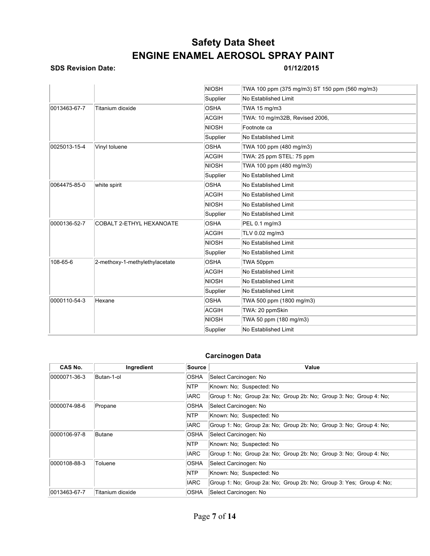### **SDS Revision Date: 01/12/2015**

|                                  |                                 | <b>NIOSH</b> | TWA 100 ppm (375 mg/m3) ST 150 ppm (560 mg/m3) |
|----------------------------------|---------------------------------|--------------|------------------------------------------------|
|                                  |                                 | Supplier     | <b>No Established Limit</b>                    |
| 0013463-67-7<br>Titanium dioxide | <b>OSHA</b>                     | TWA 15 mg/m3 |                                                |
|                                  |                                 | <b>ACGIH</b> | TWA: 10 mg/m32B, Revised 2006,                 |
|                                  |                                 | <b>NIOSH</b> | Footnote ca                                    |
|                                  |                                 | Supplier     | No Established Limit                           |
| 0025013-15-4                     | Vinyl toluene                   | <b>OSHA</b>  | TWA 100 ppm (480 mg/m3)                        |
|                                  |                                 | <b>ACGIH</b> | TWA: 25 ppm STEL: 75 ppm                       |
|                                  |                                 | <b>NIOSH</b> | TWA 100 ppm (480 mg/m3)                        |
|                                  |                                 | Supplier     | <b>No Established Limit</b>                    |
| 0064475-85-0                     | white spirit                    | <b>OSHA</b>  | <b>No Established Limit</b>                    |
|                                  |                                 | <b>ACGIH</b> | <b>No Established Limit</b>                    |
|                                  |                                 | <b>NIOSH</b> | <b>No Established Limit</b>                    |
|                                  |                                 | Supplier     | No Established Limit                           |
| 0000136-52-7                     | <b>COBALT 2-ETHYL HEXANOATE</b> | <b>OSHA</b>  | PEL 0.1 mg/m3                                  |
|                                  |                                 | <b>ACGIH</b> | TLV 0.02 mg/m3                                 |
|                                  |                                 | <b>NIOSH</b> | <b>No Established Limit</b>                    |
|                                  |                                 | Supplier     | <b>No Established Limit</b>                    |
| 108-65-6                         | 2-methoxy-1-methylethylacetate  | <b>OSHA</b>  | TWA 50ppm                                      |
|                                  |                                 | <b>ACGIH</b> | <b>No Established Limit</b>                    |
|                                  |                                 | <b>NIOSH</b> | No Established Limit                           |
|                                  |                                 | Supplier     | No Established Limit                           |
| 0000110-54-3                     | Hexane                          | <b>OSHA</b>  | TWA 500 ppm (1800 mg/m3)                       |
|                                  |                                 | <b>ACGIH</b> | TWA: 20 ppmSkin                                |
|                                  |                                 | <b>NIOSH</b> | TWA 50 ppm (180 mg/m3)                         |
|                                  |                                 | Supplier     | No Established Limit                           |

### **Carcinogen Data**

| CAS No.      | Ingredient       | Source      | Value                                                               |
|--------------|------------------|-------------|---------------------------------------------------------------------|
| 0000071-36-3 | Butan-1-ol       | OSHA        | Select Carcinogen: No                                               |
|              |                  | NTP         | Known: No: Suspected: No                                            |
|              |                  | <b>IARC</b> | Group 1: No; Group 2a: No; Group 2b: No; Group 3: No; Group 4: No;  |
| 0000074-98-6 | Propane          | OSHA        | Select Carcinogen: No                                               |
|              |                  | <b>NTP</b>  | Known: No: Suspected: No                                            |
|              |                  | <b>IARC</b> | Group 1: No; Group 2a: No; Group 2b: No; Group 3: No; Group 4: No;  |
| 0000106-97-8 | <b>Butane</b>    | OSHA        | Select Carcinogen: No                                               |
|              |                  | <b>NTP</b>  | Known: No; Suspected: No                                            |
|              |                  | <b>IARC</b> | Group 1: No: Group 2a: No: Group 2b: No: Group 3: No: Group 4: No:  |
| 0000108-88-3 | Toluene          | <b>OSHA</b> | Select Carcinogen: No                                               |
|              |                  | <b>NTP</b>  | Known: No; Suspected: No                                            |
|              |                  | <b>IARC</b> | Group 1: No; Group 2a: No; Group 2b: No; Group 3: Yes; Group 4: No; |
| 0013463-67-7 | Titanium dioxide | <b>OSHA</b> | Select Carcinogen: No                                               |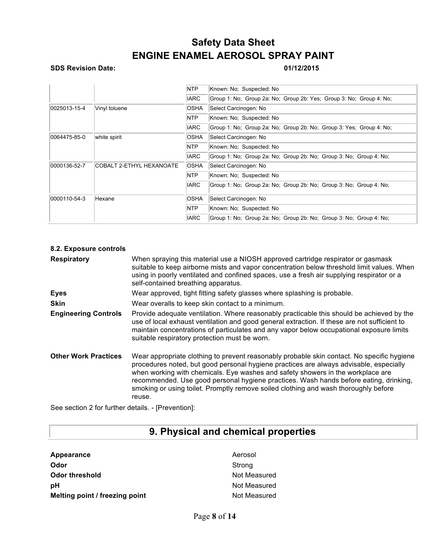### **SDS Revision Date: 01/12/2015**

|                               |                           | <b>NTP</b>  | Known: No: Suspected: No                                            |
|-------------------------------|---------------------------|-------------|---------------------------------------------------------------------|
|                               |                           | <b>IARC</b> | Group 1: No; Group 2a: No; Group 2b: Yes; Group 3: No; Group 4: No; |
| 0025013-15-4<br>Vinyl toluene |                           | <b>OSHA</b> | Select Carcinogen: No                                               |
|                               |                           | <b>NTP</b>  | Known: No; Suspected: No                                            |
|                               |                           | <b>IARC</b> | Group 1: No; Group 2a: No; Group 2b: No; Group 3: Yes; Group 4: No; |
| 0064475-85-0                  | white spirit              | <b>OSHA</b> | Select Carcinogen: No                                               |
|                               |                           | <b>NTP</b>  | Known: No: Suspected: No                                            |
|                               |                           | <b>IARC</b> | Group 1: No; Group 2a: No; Group 2b: No; Group 3: No; Group 4: No;  |
| 0000136-52-7                  | ICOBALT 2-ETHYL HEXANOATE | <b>OSHA</b> | Select Carcinogen: No                                               |
|                               |                           | NTP         | Known: No: Suspected: No                                            |
|                               |                           | <b>IARC</b> | Group 1: No; Group 2a: No; Group 2b: No; Group 3: No; Group 4: No;  |
| 0000110-54-3                  | Hexane                    | <b>OSHA</b> | Select Carcinogen: No                                               |
|                               |                           | NTP         | Known: No: Suspected: No                                            |
|                               |                           | <b>IARC</b> | Group 1: No; Group 2a: No; Group 2b: No; Group 3: No; Group 4: No;  |

| 8.2. Exposure controls      |                                                                                                                                                                                                                                                                                                                                                                                                                                                                   |
|-----------------------------|-------------------------------------------------------------------------------------------------------------------------------------------------------------------------------------------------------------------------------------------------------------------------------------------------------------------------------------------------------------------------------------------------------------------------------------------------------------------|
| <b>Respiratory</b>          | When spraying this material use a NIOSH approved cartridge respirator or gasmask<br>suitable to keep airborne mists and vapor concentration below threshold limit values. When<br>using in poorly ventilated and confined spaces, use a fresh air supplying respirator or a<br>self-contained breathing apparatus.                                                                                                                                                |
| Eyes                        | Wear approved, tight fitting safety glasses where splashing is probable.                                                                                                                                                                                                                                                                                                                                                                                          |
| <b>Skin</b>                 | Wear overalls to keep skin contact to a minimum.                                                                                                                                                                                                                                                                                                                                                                                                                  |
| <b>Engineering Controls</b> | Provide adequate ventilation. Where reasonably practicable this should be achieved by the<br>use of local exhaust ventilation and good general extraction. If these are not sufficient to<br>maintain concentrations of particulates and any vapor below occupational exposure limits<br>suitable respiratory protection must be worn.                                                                                                                            |
| <b>Other Work Practices</b> | Wear appropriate clothing to prevent reasonably probable skin contact. No specific hygiene<br>procedures noted, but good personal hygiene practices are always advisable, especially<br>when working with chemicals. Eye washes and safety showers in the workplace are<br>recommended. Use good personal hygiene practices. Wash hands before eating, drinking,<br>smoking or using toilet. Promptly remove soiled clothing and wash thoroughly before<br>reuse. |

See section 2 for further details. - [Prevention]:

# **9. Physical and chemical properties**

| Appearance                     | Aeroso |
|--------------------------------|--------|
| Odor                           | Strong |
| <b>Odor threshold</b>          | Not Me |
| рH                             | Not Me |
| Melting point / freezing point | Not Me |

Aerosol **Not Measured Not Measured Not Measured**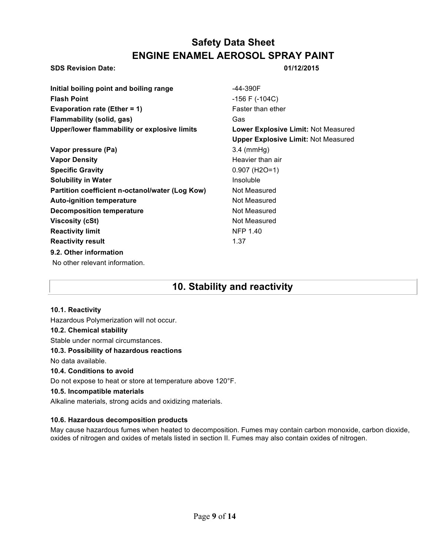### **SDS Revision Date: 01/12/2015**

| Initial boiling point and boiling range         | -44-390F                                   |
|-------------------------------------------------|--------------------------------------------|
| <b>Flash Point</b>                              |                                            |
|                                                 | $-156$ F ( $-104C$ )                       |
| <b>Evaporation rate (Ether = 1)</b>             | Faster than ether                          |
| <b>Flammability (solid, gas)</b>                | Gas                                        |
| Upper/lower flammability or explosive limits    | Lower Explosive Limit: Not Measured        |
|                                                 | <b>Upper Explosive Limit: Not Measured</b> |
| Vapor pressure (Pa)                             | $3.4 \text{ (mmHg)}$                       |
| <b>Vapor Density</b>                            | Heavier than air                           |
| <b>Specific Gravity</b>                         | $0.907$ (H <sub>2</sub> O=1)               |
| <b>Solubility in Water</b>                      | Insoluble                                  |
| Partition coefficient n-octanol/water (Log Kow) | Not Measured                               |
| <b>Auto-ignition temperature</b>                | Not Measured                               |
| Decomposition temperature                       | Not Measured                               |
| Viscosity (cSt)                                 | Not Measured                               |
| <b>Reactivity limit</b>                         | <b>NFP 1.40</b>                            |
| <b>Reactivity result</b>                        | 1.37                                       |
| 9.2. Other information                          |                                            |
| No other relevant information.                  |                                            |
|                                                 |                                            |
|                                                 |                                            |

## **10. Stability and reactivity**

### **10.1. Reactivity**

Hazardous Polymerization will not occur.

### **10.2. Chemical stability**

Stable under normal circumstances.

### **10.3. Possibility of hazardous reactions**

No data available.

### **10.4. Conditions to avoid**

Do not expose to heat or store at temperature above 120°F.

### **10.5. Incompatible materials**

Alkaline materials, strong acids and oxidizing materials.

### **10.6. Hazardous decomposition products**

May cause hazardous fumes when heated to decomposition. Fumes may contain carbon monoxide, carbon dioxide, oxides of nitrogen and oxides of metals listed in section II. Fumes may also contain oxides of nitrogen.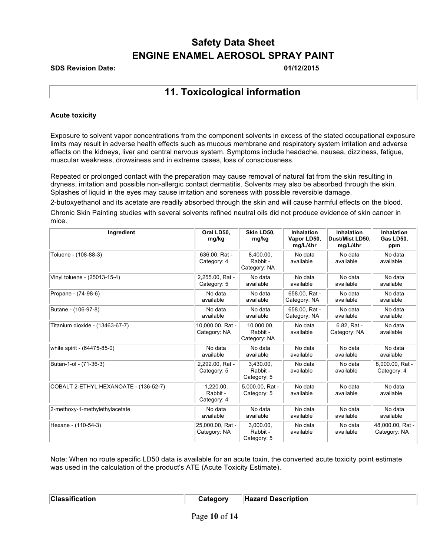### **SDS Revision Date: 01/12/2015**

### **11. Toxicological information**

### **Acute toxicity**

Exposure to solvent vapor concentrations from the component solvents in excess of the stated occupational exposure limits may result in adverse health effects such as mucous membrane and respiratory system irritation and adverse effects on the kidneys, liver and central nervous system. Symptoms include headache, nausea, dizziness, fatigue, muscular weakness, drowsiness and in extreme cases, loss of consciousness.

Repeated or prolonged contact with the preparation may cause removal of natural fat from the skin resulting in dryness, irritation and possible non-allergic contact dermatitis. Solvents may also be absorbed through the skin. Splashes of liquid in the eyes may cause irritation and soreness with possible reversible damage.

2-butoxyethanol and its acetate are readily absorbed through the skin and will cause harmful effects on the blood. Chronic Skin Painting studies with several solvents refined neutral oils did not produce evidence of skin cancer in mice.

| Ingredient                            | Oral LD50.<br>mg/kg                  | Skin LD50,<br>mg/kg                    | <b>Inhalation</b><br>Vapor LD50,<br>mg/L/4hr | <b>Inhalation</b><br>Dust/Mist LD50,<br>mg/L/4hr | Inhalation<br>Gas LD50,<br>ppm   |
|---------------------------------------|--------------------------------------|----------------------------------------|----------------------------------------------|--------------------------------------------------|----------------------------------|
| Toluene - (108-88-3)                  | 636.00, Rat -<br>Category: 4         | 8,400.00,<br>Rabbit -<br>Category: NA  | No data<br>available                         | No data<br>available                             | No data<br>available             |
| Vinyl toluene - (25013-15-4)          | 2,255.00, Rat -<br>Category: 5       | No data<br>available                   | No data<br>available                         | No data<br>available                             | No data<br>available             |
| Propane - (74-98-6)                   | No data<br>available                 | No data<br>available                   | 658.00. Rat -<br>Category: NA                | No data<br>available                             | No data<br>available             |
| Butane - (106-97-8)                   | No data<br>available                 | No data<br>available                   | 658.00, Rat -<br>Category: NA                | No data<br>available                             | No data<br>available             |
| Titanium dioxide - (13463-67-7)       | 10,000.00, Rat -<br>Category: NA     | 10,000.00,<br>Rabbit -<br>Category: NA | No data<br>available                         | 6.82, Rat -<br>Category: NA                      | No data<br>available             |
| white spirit - (64475-85-0)           | No data<br>available                 | No data<br>available                   | No data<br>available                         | No data<br>available                             | No data<br>available             |
| Butan-1-ol - (71-36-3)                | 2,292.00, Rat -<br>Category: 5       | 3.430.00.<br>Rabbit -<br>Category: 5   | No data<br>available                         | No data<br>available                             | 8,000.00, Rat -<br>Category: 4   |
| COBALT 2-ETHYL HEXANOATE - (136-52-7) | 1.220.00.<br>Rabbit -<br>Category: 4 | 5.000.00. Rat -<br>Category: 5         | No data<br>available                         | No data<br>available                             | No data<br>available             |
| 2-methoxy-1-methylethylacetate        | No data<br>available                 | No data<br>available                   | No data<br>available                         | No data<br>available                             | No data<br>available             |
| Hexane - (110-54-3)                   | 25,000.00, Rat -<br>Category: NA     | 3,000.00,<br>Rabbit -<br>Category: 5   | No data<br>available                         | No data<br>available                             | 48,000.00, Rat -<br>Category: NA |

Note: When no route specific LD50 data is available for an acute toxin, the converted acute toxicity point estimate was used in the calculation of the product's ATE (Acute Toxicity Estimate).

**Classification Category Hazard Description**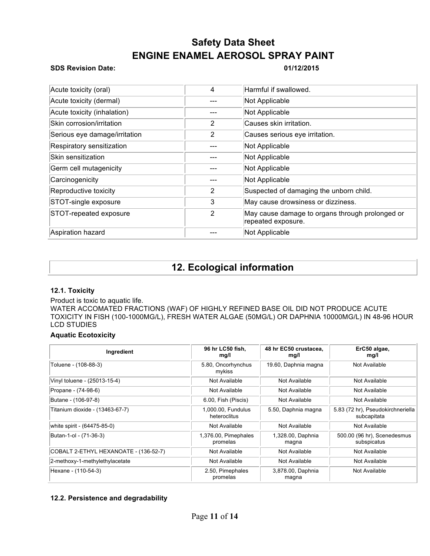### **SDS Revision Date: 01/12/2015**

| Acute toxicity (oral)         | 4              | Harmful if swallowed.                                                 |
|-------------------------------|----------------|-----------------------------------------------------------------------|
| Acute toxicity (dermal)       | ---            | Not Applicable                                                        |
| Acute toxicity (inhalation)   | ---            | Not Applicable                                                        |
| Skin corrosion/irritation     | 2              | Causes skin irritation.                                               |
| Serious eye damage/irritation | 2              | Causes serious eye irritation.                                        |
| Respiratory sensitization     |                | Not Applicable                                                        |
| Skin sensitization            |                | Not Applicable                                                        |
| Germ cell mutagenicity        |                | Not Applicable                                                        |
| Carcinogenicity               |                | Not Applicable                                                        |
| Reproductive toxicity         | 2              | Suspected of damaging the unborn child.                               |
| STOT-single exposure          | 3              | May cause drowsiness or dizziness.                                    |
| STOT-repeated exposure        | $\overline{2}$ | May cause damage to organs through prolonged or<br>repeated exposure. |
| Aspiration hazard             |                | Not Applicable                                                        |

## **12. Ecological information**

### **12.1. Toxicity**

### Product is toxic to aquatic life.

WATER ACCOMATED FRACTIONS (WAF) OF HIGHLY REFINED BASE OIL DID NOT PRODUCE ACUTE TOXICITY IN FISH (100-1000MG/L), FRESH WATER ALGAE (50MG/L) OR DAPHNIA 10000MG/L) IN 48-96 HOUR LCD STUDIES

### **Aquatic Ecotoxicity**

| Ingredient                            | 96 hr LC50 fish,<br>mg/l           | 48 hr EC50 crustacea,<br>mq/l | ErC50 algae,<br>mg/l                             |
|---------------------------------------|------------------------------------|-------------------------------|--------------------------------------------------|
| Toluene - (108-88-3)                  | 5.80, Oncorhynchus<br>mykiss       | 19.60, Daphnia magna          | Not Available                                    |
| Vinyl toluene - (25013-15-4)          | Not Available                      | Not Available                 | Not Available                                    |
| Propane - (74-98-6)                   | Not Available                      | Not Available                 | Not Available                                    |
| Butane - (106-97-8)                   | 6.00, Fish (Piscis)                | Not Available                 | Not Available                                    |
| Titanium dioxide - (13463-67-7)       | 1,000.00, Fundulus<br>heteroclitus | 5.50, Daphnia magna           | 5.83 (72 hr), Pseudokirchneriella<br>subcapitata |
| white spirit - (64475-85-0)           | Not Available                      | Not Available                 | Not Available                                    |
| Butan-1-ol - (71-36-3)                | 1,376.00, Pimephales<br>promelas   | 1,328.00, Daphnia<br>magna    | 500.00 (96 hr), Scenedesmus<br>subspicatus       |
| COBALT 2-ETHYL HEXANOATE - (136-52-7) | Not Available                      | Not Available                 | Not Available                                    |
| 2-methoxy-1-methylethylacetate        | Not Available                      | Not Available                 | Not Available                                    |
| Hexane - (110-54-3)                   | 2.50, Pimephales<br>promelas       | 3,878.00, Daphnia<br>magna    | Not Available                                    |

### **12.2. Persistence and degradability**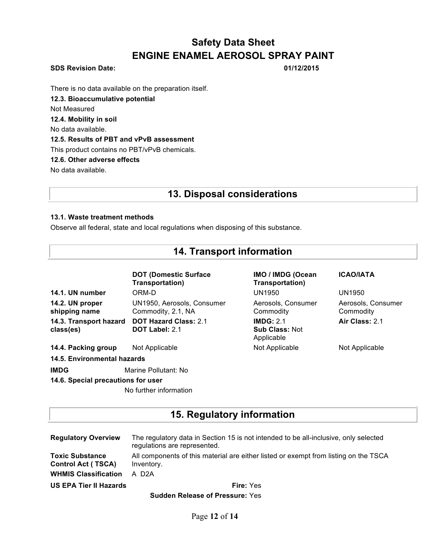### **SDS Revision Date: 01/12/2015**

There is no data available on the preparation itself.

**12.3. Bioaccumulative potential**

Not Measured

**12.4. Mobility in soil**

No data available.

### **12.5. Results of PBT and vPvB assessment**

This product contains no PBT/vPvB chemicals.

### **12.6. Other adverse effects**

No data available.

### **13. Disposal considerations**

**14. Transport information**

### **13.1. Waste treatment methods**

Observe all federal, state and local regulations when disposing of this substance.

|                                     | <b>DOT (Domestic Surface)</b><br>Transportation)      | IMO / IMDG (Ocean<br>Transportation)             | <b>ICAO/IATA</b>                |
|-------------------------------------|-------------------------------------------------------|--------------------------------------------------|---------------------------------|
| 14.1. UN number                     | ORM-D                                                 | <b>UN1950</b>                                    | UN1950                          |
| 14.2. UN proper<br>shipping name    | UN1950, Aerosols, Consumer<br>Commodity, 2.1, NA      | Aerosols, Consumer<br>Commodity                  | Aerosols, Consumer<br>Commodity |
| 14.3. Transport hazard<br>class(es) | <b>DOT Hazard Class: 2.1</b><br><b>DOT Label: 2.1</b> | IMDG: 2.1<br><b>Sub Class: Not</b><br>Applicable | Air Class: 2.1                  |
| 14.4. Packing group                 | Not Applicable                                        | Not Applicable                                   | Not Applicable                  |
| 14.5. Environmental hazards         |                                                       |                                                  |                                 |
| <b>IMDG</b>                         | Marine Pollutant: No                                  |                                                  |                                 |
| 14.6. Special precautions for user  |                                                       |                                                  |                                 |
|                                     | No further information                                |                                                  |                                 |

### **15. Regulatory information**

| <b>Regulatory Overview</b>                          | The regulatory data in Section 15 is not intended to be all-inclusive, only selected<br>regulations are represented. |
|-----------------------------------------------------|----------------------------------------------------------------------------------------------------------------------|
| <b>Toxic Substance</b><br><b>Control Act (TSCA)</b> | All components of this material are either listed or exempt from listing on the TSCA<br>Inventory.                   |
| <b>WHMIS Classification</b>                         | A D <sub>2</sub> A                                                                                                   |
| <b>US EPA Tier II Hazards</b>                       | <b>Fire: Yes</b>                                                                                                     |

**Sudden Release of Pressure:** Yes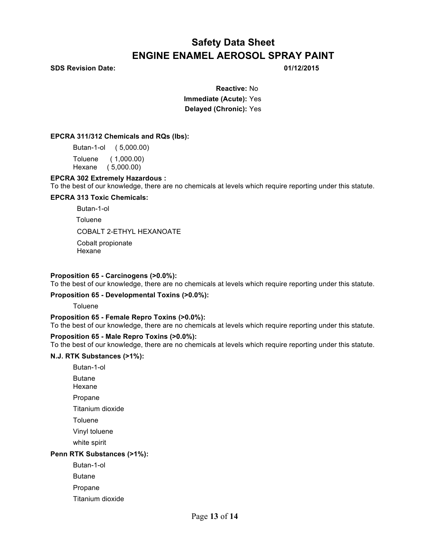**SDS Revision Date: 01/12/2015**

**Reactive:** No **Immediate (Acute):** Yes **Delayed (Chronic):** Yes

### **EPCRA 311/312 Chemicals and RQs (lbs):**

Butan-1-ol ( 5,000.00) Toluene ( 1,000.00) Hexane ( 5,000.00)

### **EPCRA 302 Extremely Hazardous :**

To the best of our knowledge, there are no chemicals at levels which require reporting under this statute.

### **EPCRA 313 Toxic Chemicals:**

 Butan-1-ol **Toluene** COBALT 2-ETHYL HEXANOATE Cobalt propionate Hexane

### **Proposition 65 - Carcinogens (>0.0%):**

To the best of our knowledge, there are no chemicals at levels which require reporting under this statute.

### **Proposition 65 - Developmental Toxins (>0.0%):**

**Toluene** 

### **Proposition 65 - Female Repro Toxins (>0.0%):**

To the best of our knowledge, there are no chemicals at levels which require reporting under this statute.

### **Proposition 65 - Male Repro Toxins (>0.0%):**

To the best of our knowledge, there are no chemicals at levels which require reporting under this statute.

### **N.J. RTK Substances (>1%):**

Butan-1-ol

Butane

Hexane

Propane

Titanium dioxide

**Toluene** 

Vinyl toluene

white spirit

### **Penn RTK Substances (>1%):**

Butan-1-ol

Butane

Propane

Titanium dioxide